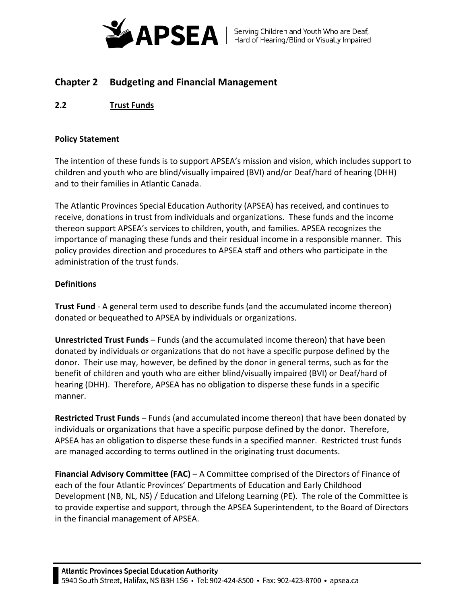

# **Chapter 2 Budgeting and Financial Management**

**2.2 Trust Funds**

## **Policy Statement**

The intention of these funds is to support APSEA's mission and vision, which includes support to children and youth who are blind/visually impaired (BVI) and/or Deaf/hard of hearing (DHH) and to their families in Atlantic Canada.

The Atlantic Provinces Special Education Authority (APSEA) has received, and continues to receive, donations in trust from individuals and organizations. These funds and the income thereon support APSEA's services to children, youth, and families. APSEA recognizes the importance of managing these funds and their residual income in a responsible manner. This policy provides direction and procedures to APSEA staff and others who participate in the administration of the trust funds.

## **Definitions**

**Trust Fund** - A general term used to describe funds (and the accumulated income thereon) donated or bequeathed to APSEA by individuals or organizations.

**Unrestricted Trust Funds** – Funds (and the accumulated income thereon) that have been donated by individuals or organizations that do not have a specific purpose defined by the donor. Their use may, however, be defined by the donor in general terms, such as for the benefit of children and youth who are either blind/visually impaired (BVI) or Deaf/hard of hearing (DHH). Therefore, APSEA has no obligation to disperse these funds in a specific manner.

**Restricted Trust Funds** – Funds (and accumulated income thereon) that have been donated by individuals or organizations that have a specific purpose defined by the donor. Therefore, APSEA has an obligation to disperse these funds in a specified manner. Restricted trust funds are managed according to terms outlined in the originating trust documents.

**Financial Advisory Committee (FAC)** – A Committee comprised of the Directors of Finance of each of the four Atlantic Provinces' Departments of Education and Early Childhood Development (NB, NL, NS) / Education and Lifelong Learning (PE). The role of the Committee is to provide expertise and support, through the APSEA Superintendent, to the Board of Directors in the financial management of APSEA.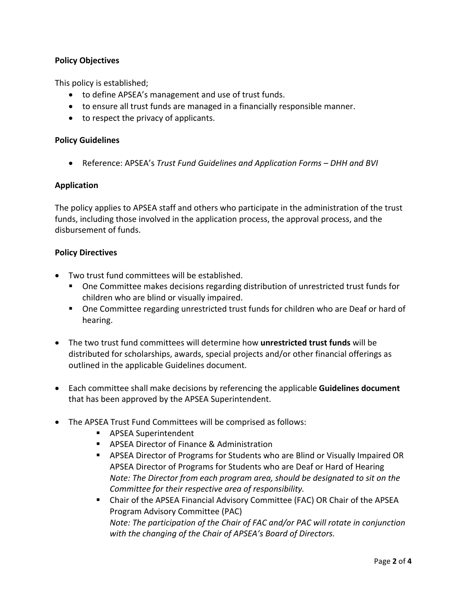# **Policy Objectives**

This policy is established;

- to define APSEA's management and use of trust funds.
- to ensure all trust funds are managed in a financially responsible manner.
- to respect the privacy of applicants.

## **Policy Guidelines**

• Reference: APSEA's *Trust Fund Guidelines and Application Forms – DHH and BVI*

## **Application**

The policy applies to APSEA staff and others who participate in the administration of the trust funds, including those involved in the application process, the approval process, and the disbursement of funds.

### **Policy Directives**

- Two trust fund committees will be established.
	- One Committee makes decisions regarding distribution of unrestricted trust funds for children who are blind or visually impaired.
	- One Committee regarding unrestricted trust funds for children who are Deaf or hard of hearing.
- The two trust fund committees will determine how **unrestricted trust funds** will be distributed for scholarships, awards, special projects and/or other financial offerings as outlined in the applicable Guidelines document.
- Each committee shall make decisions by referencing the applicable **Guidelines document** that has been approved by the APSEA Superintendent.
- The APSEA Trust Fund Committees will be comprised as follows:
	- **APSEA Superintendent**
	- **APSEA Director of Finance & Administration**
	- APSEA Director of Programs for Students who are Blind or Visually Impaired OR APSEA Director of Programs for Students who are Deaf or Hard of Hearing *Note: The Director from each program area, should be designated to sit on the Committee for their respective area of responsibility.*
	- Chair of the APSEA Financial Advisory Committee (FAC) OR Chair of the APSEA Program Advisory Committee (PAC) *Note: The participation of the Chair of FAC and/or PAC will rotate in conjunction with the changing of the Chair of APSEA's Board of Directors.*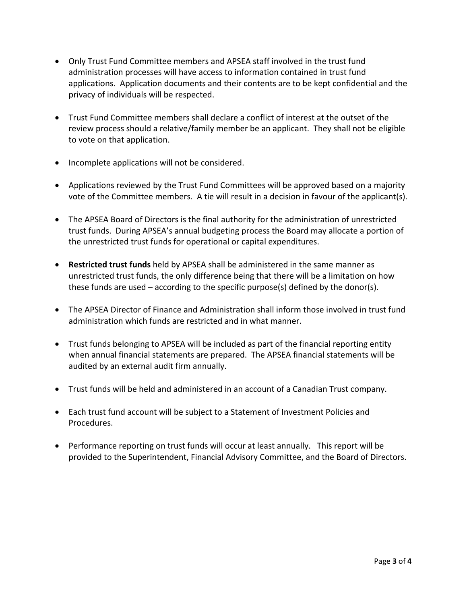- Only Trust Fund Committee members and APSEA staff involved in the trust fund administration processes will have access to information contained in trust fund applications. Application documents and their contents are to be kept confidential and the privacy of individuals will be respected.
- Trust Fund Committee members shall declare a conflict of interest at the outset of the review process should a relative/family member be an applicant. They shall not be eligible to vote on that application.
- Incomplete applications will not be considered.
- Applications reviewed by the Trust Fund Committees will be approved based on a majority vote of the Committee members. A tie will result in a decision in favour of the applicant(s).
- The APSEA Board of Directors is the final authority for the administration of unrestricted trust funds. During APSEA's annual budgeting process the Board may allocate a portion of the unrestricted trust funds for operational or capital expenditures.
- **Restricted trust funds** held by APSEA shall be administered in the same manner as unrestricted trust funds, the only difference being that there will be a limitation on how these funds are used  $-$  according to the specific purpose(s) defined by the donor(s).
- The APSEA Director of Finance and Administration shall inform those involved in trust fund administration which funds are restricted and in what manner.
- Trust funds belonging to APSEA will be included as part of the financial reporting entity when annual financial statements are prepared. The APSEA financial statements will be audited by an external audit firm annually.
- Trust funds will be held and administered in an account of a Canadian Trust company.
- Each trust fund account will be subject to a Statement of Investment Policies and Procedures.
- Performance reporting on trust funds will occur at least annually. This report will be provided to the Superintendent, Financial Advisory Committee, and the Board of Directors.